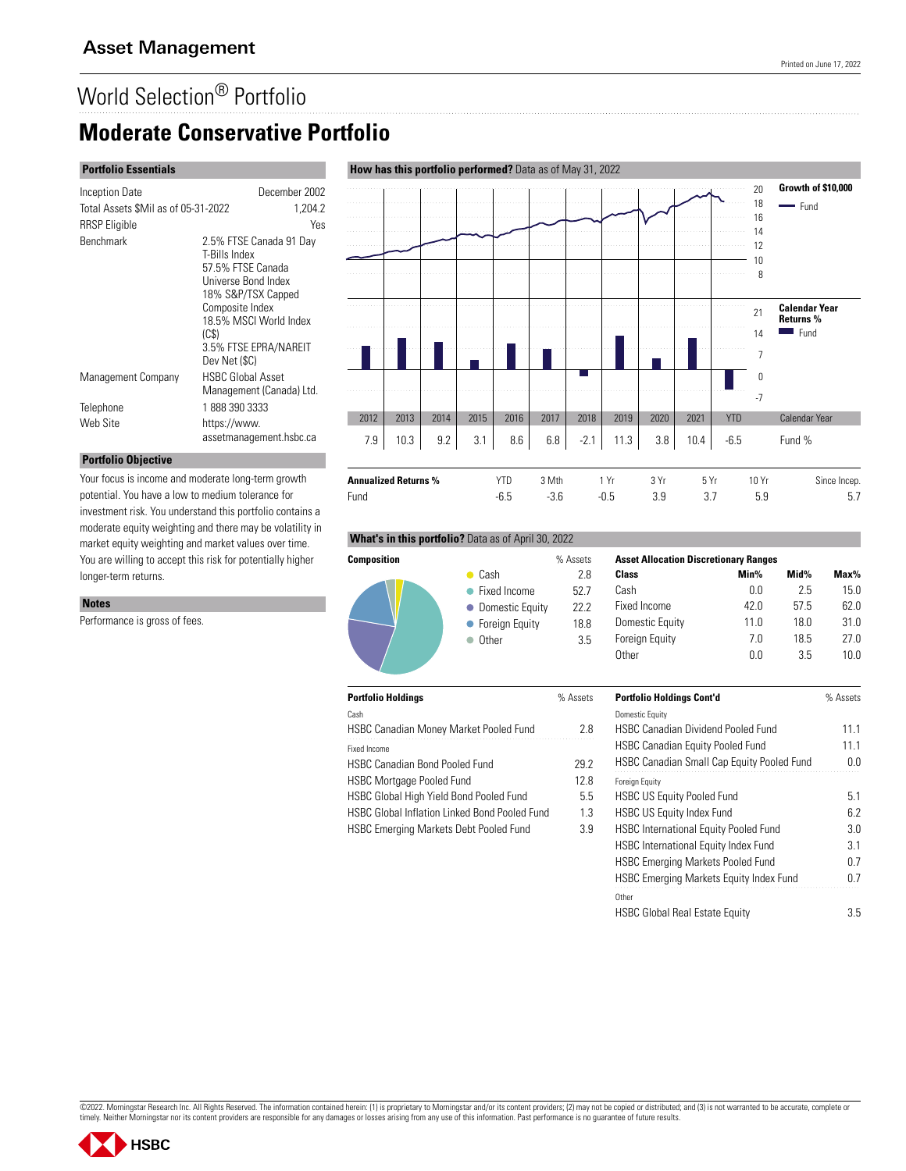# World Selection® Portfolio

## **Moderate Conservative Portfolio**

### **Portfolio Essentials**

| <b>Inception Date</b>               | December 2002                                                                                                                                                                                              |
|-------------------------------------|------------------------------------------------------------------------------------------------------------------------------------------------------------------------------------------------------------|
| Total Assets \$Mil as of 05-31-2022 | 1,204.2                                                                                                                                                                                                    |
| <b>RRSP</b> Eligible                | Yes                                                                                                                                                                                                        |
| <b>Benchmark</b>                    | 2.5% FTSE Canada 91 Day<br>T-Bills Index<br>57.5% FTSE Canada<br>Universe Bond Index<br>18% S&P/TSX Capped<br>Composite Index<br>18.5% MSCI World Index<br>(C\$)<br>3.5% FTSE EPRA/NAREIT<br>Dev Net (\$C) |
| Management Company                  | <b>HSBC Global Asset</b>                                                                                                                                                                                   |
|                                     | Management (Canada) Ltd.                                                                                                                                                                                   |
| Telephone                           | 1 888 390 3333                                                                                                                                                                                             |
| Web Site                            | https://www.<br>assetmanagement.hsbc.ca                                                                                                                                                                    |

Your focus is income and moderate long-term growth potential. You have a low to medium tolerance for investment risk. You understand this portfolio contains a moderate equity weighting and there may be volatility in market equity weighting and market values over time. You are willing to accept this risk for potentially higher

#### 20 **Growth of \$10,000** . . . . . . . . . 18 - Fund . . . . . . . . . in na 16 14 12 10 . . . . . . . . . . . . . . . . . . . . . . . . . . . . . . . . . 8 . . . . . . . . . . . . . . . . . . . . . . . . . . . 21 **Calendar Year Returns %** . . . . . . . .  $Fund$ 14 7 0 -7 2012 2013 2014 2015 2016 2017 2018 2019 2020 2021 YTD Calendar Year 7.9 | 10.3 | 9.2 | 3.1 | 8.6 | 6.8 | -2.1 | 11.3 | 3.8 | 10.4 | -6.5 Fund %

#### **What's in this portfolio?** Data as of April 30, 2022

 $\bullet$  Cash • Fixed Income • Domestic Equity **• Foreign Equity**  $\bullet$  Other



| 6 Assets | <b>Asset Allocation Discretionary Ranges</b> |      |      |      |
|----------|----------------------------------------------|------|------|------|
| 2.8      | Class                                        | Min% | Mid% | Max% |
| 527      | Cash                                         | 0.0  | 25   | 15.0 |
| 222      | Fixed Income                                 | 42.0 | 57.5 | 62.0 |
| 18.8     | Domestic Equity                              | 11.0 | 18.0 | 31.0 |
| 3.5      | <b>Foreign Equity</b>                        | 70   | 18.5 | 27.0 |
|          |                                              |      |      |      |

| <b>Portfolio Holdings</b>                            | % Assets | <b>Portfolio Holdings Cont'd</b>                  | % Assets |
|------------------------------------------------------|----------|---------------------------------------------------|----------|
| Cash                                                 |          | Domestic Equity                                   |          |
| <b>HSBC Canadian Money Market Pooled Fund</b>        | 2.8      | <b>HSBC Canadian Dividend Pooled Fund</b>         | 11.1     |
| Fixed Income                                         |          | <b>HSBC Canadian Equity Pooled Fund</b>           | 11.1     |
| <b>HSBC Canadian Bond Pooled Fund</b>                | 29.2     | <b>HSBC Canadian Small Cap Equity Pooled Fund</b> | 0.0      |
| <b>HSBC Mortgage Pooled Fund</b>                     | 12.8     | <b>Foreign Equity</b>                             |          |
| HSBC Global High Yield Bond Pooled Fund              | 5.5      | <b>HSBC US Equity Pooled Fund</b>                 | 5.1      |
| <b>HSBC Global Inflation Linked Bond Pooled Fund</b> | 1.3      | <b>HSBC US Equity Index Fund</b>                  | 6.2      |
| <b>HSBC Emerging Markets Debt Pooled Fund</b>        | 3.9      | <b>HSBC International Equity Pooled Fund</b>      | 3.0      |
|                                                      |          | HSBC International Equity Index Fund              | 3.1      |
|                                                      |          | <b>HSBC Emerging Markets Pooled Fund</b>          | 0.7      |
|                                                      |          | HSBC Emerging Markets Equity Index Fund           | 0.7      |
|                                                      |          | Other                                             |          |
|                                                      |          | <b>HSBC Global Real Estate Equity</b>             | 3.5      |

Other 0.0 3.5 10.0

### **How has this portfolio performed?** Data as of May 31, 2022

©2022. Morningstar Research Inc. All Rights Reserved. The information contained herein: (1) is proprietary to Morningstar and/or its content providers; (2) may not be copied or distributed; and (3) is not warranted to be a





**Notes**

Performance is gross of fees.

longer-term returns.

**Portfolio Objective**